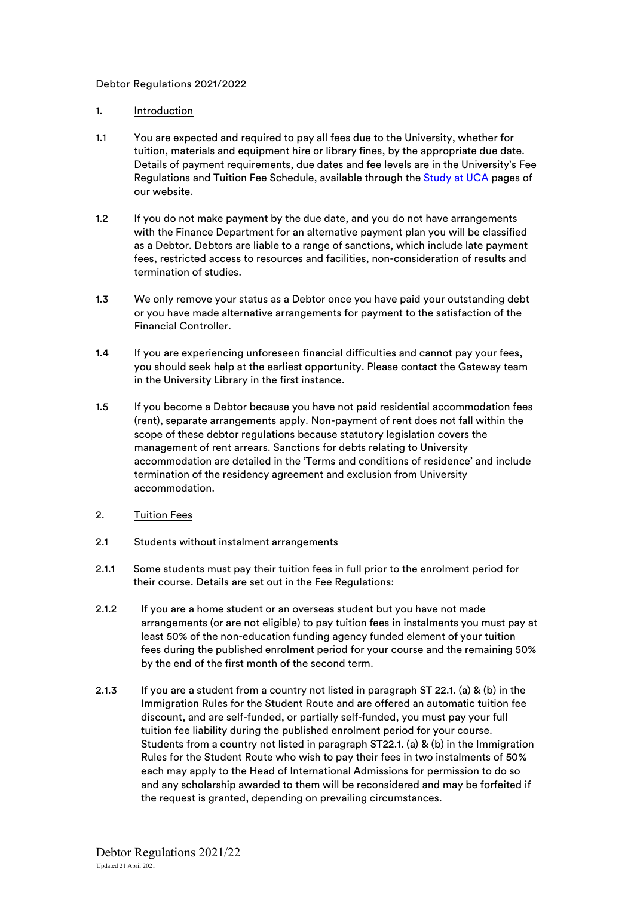## Debtor Regulations 2021/2022

## 1. Introduction

- 1.1 You are expected and required to pay all fees due to the University, whether for tuition, materials and equipment hire or library fines, by the appropriate due date. Details of payment requirements, due dates and fee levels are in the University's Fee Regulations and Tuition Fee Schedule, available through the [Study at UCA](https://www.uca.ac.uk/life-at-uca/fees/schedules-regulations/) pages of our website.
- 1.2 If you do not make payment by the due date, and you do not have arrangements with the Finance Department for an alternative payment plan you will be classified as a Debtor. Debtors are liable to a range of sanctions, which include late payment fees, restricted access to resources and facilities, non-consideration of results and termination of studies.
- 1.3 We only remove your status as a Debtor once you have paid your outstanding debt or you have made alternative arrangements for payment to the satisfaction of the Financial Controller.
- 1.4 If you are experiencing unforeseen financial difficulties and cannot pay your fees, you should seek help at the earliest opportunity. Please contact the Gateway team in the University Library in the first instance.
- 1.5 If you become a Debtor because you have not paid residential accommodation fees (rent), separate arrangements apply. Non-payment of rent does not fall within the scope of these debtor regulations because statutory legislation covers the management of rent arrears. Sanctions for debts relating to University accommodation are detailed in the 'Terms and conditions of residence' and include termination of the residency agreement and exclusion from University accommodation.
- 2. Tuition Fees
- 2.1 Students without instalment arrangements
- 2.1.1 Some students must pay their tuition fees in full prior to the enrolment period for their course. Details are set out in the Fee Regulations:
- 2.1.2 If you are a home student or an overseas student but you have not made arrangements (or are not eligible) to pay tuition fees in instalments you must pay at least 50% of the non-education funding agency funded element of your tuition fees during the published enrolment period for your course and the remaining 50% by the end of the first month of the second term.
- 2.1.3 If you are a student from a country not listed in paragraph ST 22.1. (a) & (b) in the Immigration Rules for the Student Route and are offered an automatic tuition fee discount, and are self-funded, or partially self-funded, you must pay your full tuition fee liability during the published enrolment period for your course. Students from a country not listed in paragraph ST22.1. (a) & (b) in the Immigration Rules for the Student Route who wish to pay their fees in two instalments of 50% each may apply to the Head of International Admissions for permission to do so and any scholarship awarded to them will be reconsidered and may be forfeited if the request is granted, depending on prevailing circumstances.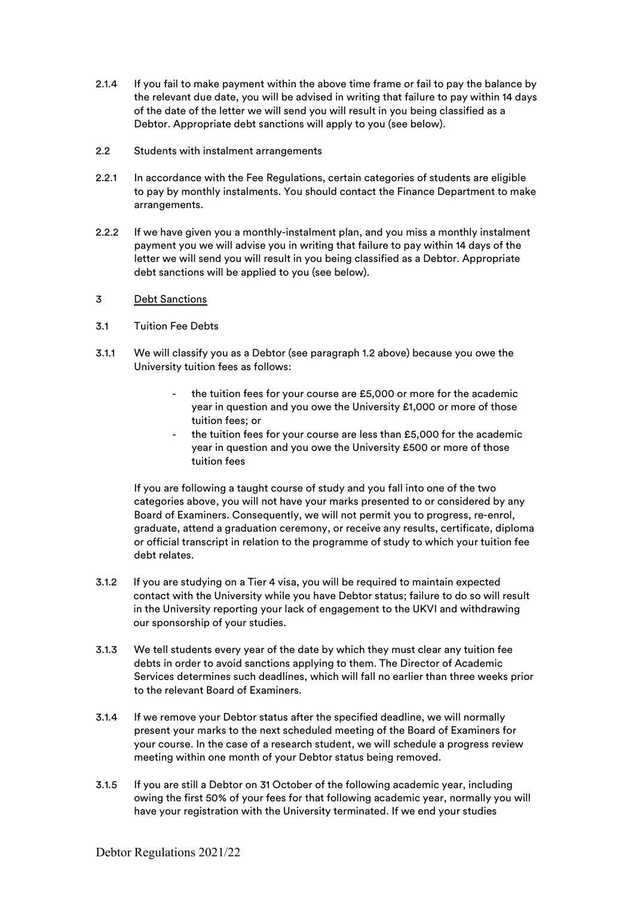- 2.1.4 If you fail to make payment within the above time frame or fail to pay the balance by the relevant due date, you will be advised in writing that failure to pay within 14 days of the date of the letter we will send you will result in you being classified as a Debtor. Appropriate debt sanctions will apply to you (see below).
- 2.2 Students with instalment arrangements
- 2.2.1 In accordance with the Fee Regulations, certain categories of students are eligible to pay by monthly instalments. You should contact the Finance Department to make arrangements.
- 2.2.2 If we have given you a monthly-instalment plan, and you miss a monthly instalment payment you we will advise you in writing that failure to pay within 14 days of the letter we will send you will result in you being classified as a Debtor. Appropriate debt sanctions will be applied to you (see below).
- 3 Debt Sanctions
- 3.1 Tuition Fee Debts
- 3.1.1 We will classify you as a Debtor (see paragraph 1.2 above) because you owe the University tuition fees as follows:
	- the tuition fees for your course are £5,000 or more for the academic year in question and you owe the University £1,000 or more of those tuition fees; or
	- the tuition fees for your course are less than £5,000 for the academic year in question and you owe the University £500 or more of those tuition fees

If you are following a taught course of study and you fall into one of the two categories above, you will not have your marks presented to or considered by any Board of Examiners. Consequently, we will not permit you to progress, re-enrol, graduate, attend a graduation ceremony, or receive any results, certificate, diploma or official transcript in relation to the programme of study to which your tuition fee debt relates.

- 3.1.2 If you are studying on a Tier 4 visa, you will be required to maintain expected contact with the University while you have Debtor status; failure to do so will result in the University reporting your lack of engagement to the UKVI and withdrawing our sponsorship of your studies.
- 3.1.3 We tell students every year of the date by which they must clear any tuition fee debts in order to avoid sanctions applying to them. The Director of Academic Services determines such deadlines, which will fall no earlier than three weeks prior to the relevant Board of Examiners.
- 3.1.4 If we remove your Debtor status after the specified deadline, we will normally present your marks to the next scheduled meeting of the Board of Examiners for your course. In the case of a research student, we will schedule a progress review meeting within one month of your Debtor status being removed.
- 3.1.5 If you are still a Debtor on 31 October of the following academic year, including owing the first 50% of your fees for that following academic year, normally you will have your registration with the University terminated. If we end your studies